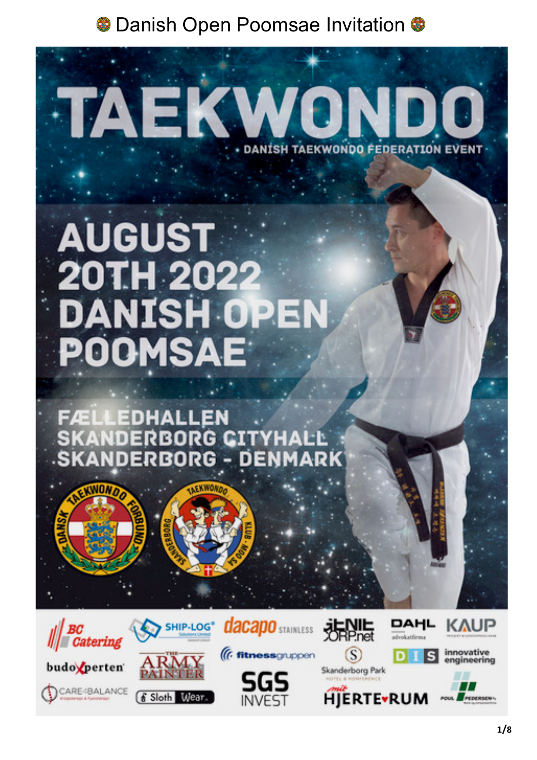# **AUGUST** 20TH 2022 **DANISH OPE POOMSAE**

TAEKV

**ÆLLEDHALLEN** ANDERBORG CITYHALL **NDERBORG - DENM** ARK



**EXWOND** 





SHIP-LOG<sup>®</sup>



**dacapo** STAINLESS



**DANISH TAEKWONDO FEDERATION EVENT** 

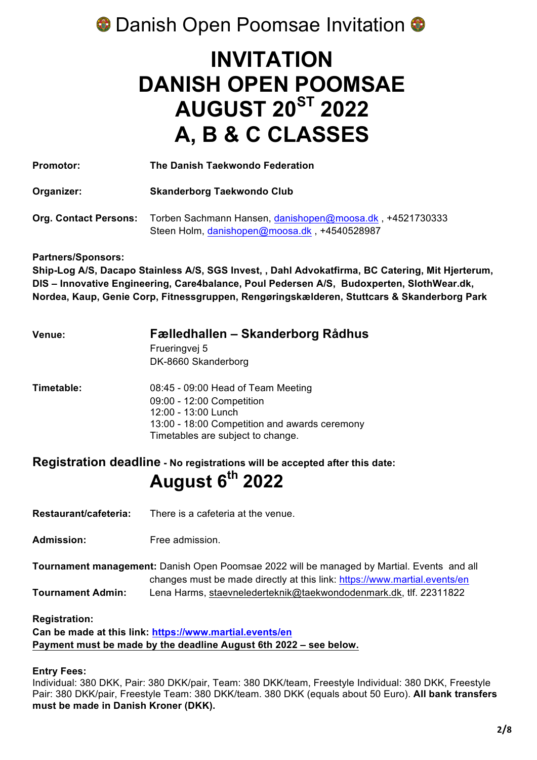# **INVITATION DANISH OPEN POOMSAE AUGUST 20ST 2022 A, B & C CLASSES**

| <b>Promotor:</b>             | The Danish Taekwondo Federation                                                                          |  |
|------------------------------|----------------------------------------------------------------------------------------------------------|--|
| Organizer:                   | <b>Skanderborg Taekwondo Club</b>                                                                        |  |
| <b>Org. Contact Persons:</b> | Torben Sachmann Hansen, danishopen@moosa.dk, +4521730333<br>Steen Holm, danishopen@moosa.dk, +4540528987 |  |

**Partners/Sponsors:**

**Ship-Log A/S, Dacapo Stainless A/S, SGS Invest, , Dahl Advokatfirma, BC Catering, Mit Hjerterum, DIS – Innovative Engineering, Care4balance, Poul Pedersen A/S, Budoxperten, SlothWear.dk, Nordea, Kaup, Genie Corp, Fitnessgruppen, Rengøringskælderen, Stuttcars & Skanderborg Park** 

| <b>Venue:</b> | Fælledhallen – Skanderborg Rådhus             |  |  |
|---------------|-----------------------------------------------|--|--|
|               | Frueringvej 5                                 |  |  |
|               | DK-8660 Skanderborg                           |  |  |
| Timetable:    | 08:45 - 09:00 Head of Team Meeting            |  |  |
|               | 09:00 - 12:00 Competition                     |  |  |
|               | 12:00 - 13:00 Lunch                           |  |  |
|               | 13:00 - 18:00 Competition and awards ceremony |  |  |
|               | Timetables are subject to change.             |  |  |

### **Registration deadline - No registrations will be accepted after this date: August 6th 2022**

**Restaurant/cafeteria:** There is a cafeteria at the venue.

Admission: Free admission

**Tournament management:** Danish Open Poomsae 2022 will be managed by Martial. Events and all changes must be made directly at this link: https://www.martial.events/en **Tournament Admin:** Lena Harms, staevnelederteknik@taekwondodenmark.dk, tlf. 22311822

**Registration:**

**Can be made at this link: https://www.martial.events/en Payment must be made by the deadline August 6th 2022 – see below.**

### **Entry Fees:**

Individual: 380 DKK, Pair: 380 DKK/pair, Team: 380 DKK/team, Freestyle Individual: 380 DKK, Freestyle Pair: 380 DKK/pair, Freestyle Team: 380 DKK/team. 380 DKK (equals about 50 Euro). **All bank transfers must be made in Danish Kroner (DKK).**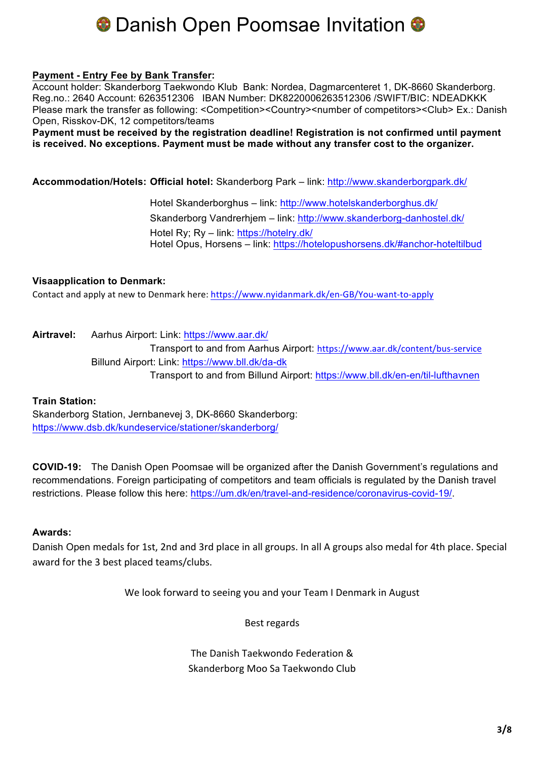### **Payment - Entry Fee by Bank Transfer:**

Account holder: Skanderborg Taekwondo Klub Bank: Nordea, Dagmarcenteret 1, DK-8660 Skanderborg. Reg.no.: 2640 Account: 6263512306 IBAN Number: DK8220006263512306 /SWIFT/BIC: NDEADKKK Please mark the transfer as following: <Competition><Country><number of competitors><Club> Ex.: Danish Open, Risskov-DK, 12 competitors/teams

**Payment must be received by the registration deadline! Registration is not confirmed until payment is received. No exceptions. Payment must be made without any transfer cost to the organizer.**

**Accommodation/Hotels: Official hotel:** Skanderborg Park – link: http://www.skanderborgpark.dk/

Hotel Skanderborghus – link: http://www.hotelskanderborghus.dk/ Skanderborg Vandrerhjem – link: http://www.skanderborg-danhostel.dk/ Hotel Ry; Ry – link: https://hotelry.dk/ Hotel Opus, Horsens – link: https://hotelopushorsens.dk/#anchor-hoteltilbud

### **Visaapplication to Denmark:**

Contact and apply at new to Denmark here: https://www.nyidanmark.dk/en-GB/You-want-to-apply

**Airtravel:** Aarhus Airport: Link: https://www.aar.dk/ Transport to and from Aarhus Airport: https://www.aar.dk/content/bus-service Billund Airport: Link: https://www.bll.dk/da-dk Transport to and from Billund Airport: https://www.bll.dk/en-en/til-lufthavnen

### **Train Station:**

Skanderborg Station, Jernbanevej 3, DK-8660 Skanderborg: https://www.dsb.dk/kundeservice/stationer/skanderborg/

**COVID-19:** The Danish Open Poomsae will be organized after the Danish Government's regulations and recommendations. Foreign participating of competitors and team officials is regulated by the Danish travel restrictions. Please follow this here: https://um.dk/en/travel-and-residence/coronavirus-covid-19/.

### **Awards:**

Danish Open medals for 1st, 2nd and 3rd place in all groups. In all A groups also medal for 4th place. Special award for the 3 best placed teams/clubs.

We look forward to seeing you and your Team I Denmark in August

Best regards

The Danish Taekwondo Federation & Skanderborg Moo Sa Taekwondo Club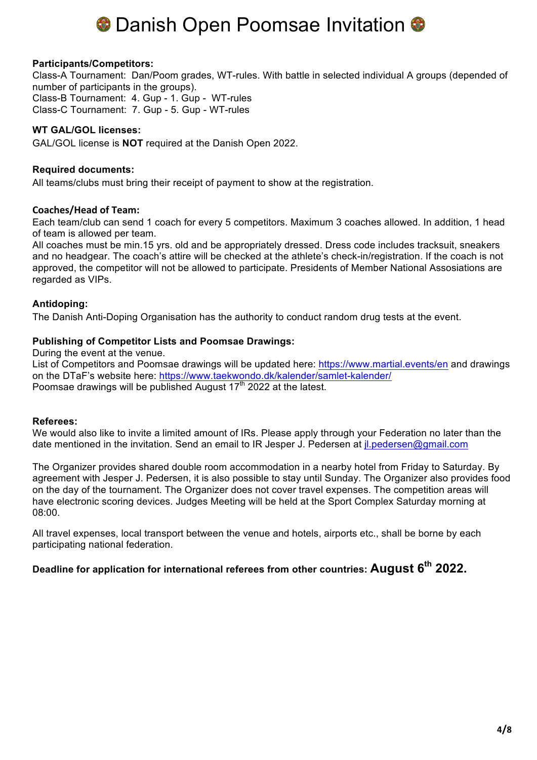### **Participants/Competitors:**

Class-A Tournament: Dan/Poom grades, WT-rules. With battle in selected individual A groups (depended of number of participants in the groups). Class-B Tournament: 4. Gup - 1. Gup - WT-rules Class-C Tournament: 7. Gup - 5. Gup - WT-rules

### **WT GAL/GOL licenses:**

GAL/GOL license is **NOT** required at the Danish Open 2022.

### **Required documents:**

All teams/clubs must bring their receipt of payment to show at the registration.

### **Coaches/Head of Team:**

Each team/club can send 1 coach for every 5 competitors. Maximum 3 coaches allowed. In addition, 1 head of team is allowed per team.

All coaches must be min.15 yrs. old and be appropriately dressed. Dress code includes tracksuit, sneakers and no headgear. The coach's attire will be checked at the athlete's check-in/registration. If the coach is not approved, the competitor will not be allowed to participate. Presidents of Member National Assosiations are regarded as VIPs.

### **Antidoping:**

The Danish Anti-Doping Organisation has the authority to conduct random drug tests at the event.

### **Publishing of Competitor Lists and Poomsae Drawings:**

During the event at the venue.

List of Competitors and Poomsae drawings will be updated here: https://www.martial.events/en and drawings on the DTaF's website here: https://www.taekwondo.dk/kalender/samlet-kalender/ Poomsae drawings will be published August  $17<sup>th</sup>$  2022 at the latest.

### **Referees:**

We would also like to invite a limited amount of IRs. Please apply through your Federation no later than the date mentioned in the invitation. Send an email to IR Jesper J. Pedersen at *il.pedersen@gmail.com* 

The Organizer provides shared double room accommodation in a nearby hotel from Friday to Saturday. By agreement with Jesper J. Pedersen, it is also possible to stay until Sunday. The Organizer also provides food on the day of the tournament. The Organizer does not cover travel expenses. The competition areas will have electronic scoring devices. Judges Meeting will be held at the Sport Complex Saturday morning at 08:00.

All travel expenses, local transport between the venue and hotels, airports etc., shall be borne by each participating national federation.

### **Deadline for application for international referees from other countries: August 6th 2022.**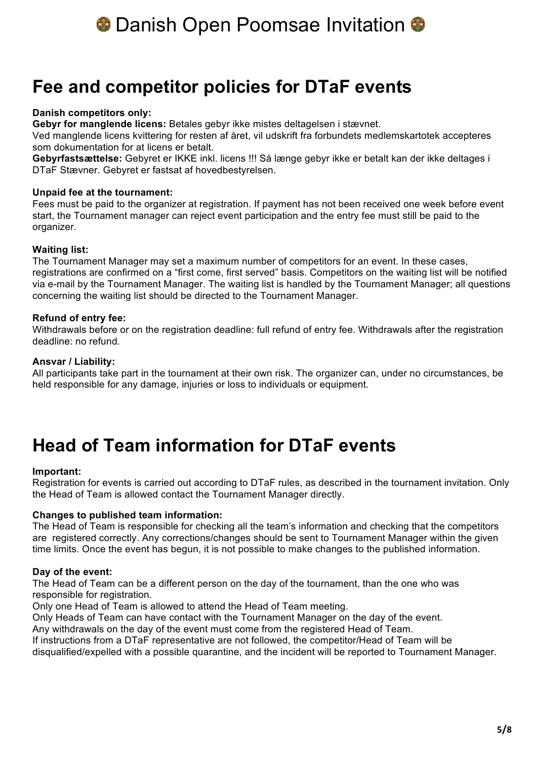

### **Fee and competitor policies for DTaF events**

### **Danish competitors only:**

**Gebyr for manglende licens:** Betales gebyr ikke mistes deltagelsen i stævnet.

Ved manglende licens kvittering for resten af året, vil udskrift fra forbundets medlemskartotek accepteres som dokumentation for at licens er betalt.

**Gebyrfastsættelse:** Gebyret er IKKE inkl. licens !!! Så længe gebyr ikke er betalt kan der ikke deltages i DTaF Stævner. Gebyret er fastsat af hovedbestyrelsen.

### **Unpaid fee at the tournament:**

Fees must be paid to the organizer at registration. If payment has not been received one week before event start, the Tournament manager can reject event participation and the entry fee must still be paid to the organizer.

### **Waiting list:**

The Tournament Manager may set a maximum number of competitors for an event. In these cases, registrations are confirmed on a "first come, first served" basis. Competitors on the waiting list will be notified via e-mail by the Tournament Manager. The waiting list is handled by the Tournament Manager; all questions concerning the waiting list should be directed to the Tournament Manager.

### **Refund of entry fee:**

Withdrawals before or on the registration deadline: full refund of entry fee. Withdrawals after the registration deadline: no refund.

### **Ansvar / Liability:**

All participants take part in the tournament at their own risk. The organizer can, under no circumstances, be held responsible for any damage, injuries or loss to individuals or equipment.

### **Head of Team information for DTaF events**

### **Important:**

Registration for events is carried out according to DTaF rules, as described in the tournament invitation. Only the Head of Team is allowed contact the Tournament Manager directly.

### **Changes to published team information:**

The Head of Team is responsible for checking all the team's information and checking that the competitors are registered correctly. Any corrections/changes should be sent to Tournament Manager within the given time limits. Once the event has begun, it is not possible to make changes to the published information.

### **Day of the event:**

The Head of Team can be a different person on the day of the tournament, than the one who was responsible for registration.

Only one Head of Team is allowed to attend the Head of Team meeting.

Only Heads of Team can have contact with the Tournament Manager on the day of the event.

Any withdrawals on the day of the event must come from the registered Head of Team.

If instructions from a DTaF representative are not followed, the competitor/Head of Team will be

disqualified/expelled with a possible quarantine, and the incident will be reported to Tournament Manager.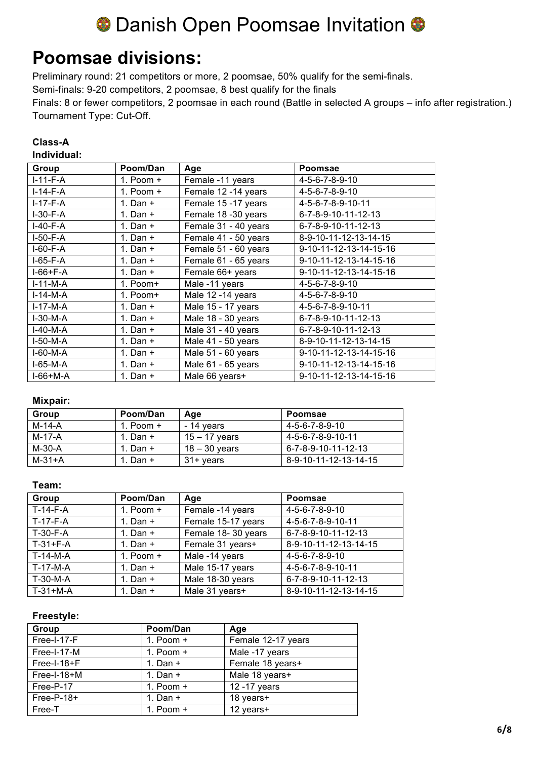# **O** Danish Open Poomsae Invitation  $\bullet$

### **Poomsae divisions:**

Preliminary round: 21 competitors or more, 2 poomsae, 50% qualify for the semi-finals.

Semi-finals: 9-20 competitors, 2 poomsae, 8 best qualify for the finals

Finals: 8 or fewer competitors, 2 poomsae in each round (Battle in selected A groups – info after registration.) Tournament Type: Cut-Off.

### **Class-A Individual:**

| Group      | Poom/Dan    | Age                  | <b>Poomsae</b>               |
|------------|-------------|----------------------|------------------------------|
| $I-11-F-A$ | 1. Poom $+$ | Female -11 years     | 4-5-6-7-8-9-10               |
| I-14-F-A   | 1. Poom $+$ | Female 12 -14 years  | 4-5-6-7-8-9-10               |
| $I-17-F-A$ | 1. Dan $+$  | Female 15 -17 years  | 4-5-6-7-8-9-10-11            |
| $I-30-F-A$ | 1. Dan $+$  | Female 18 -30 years  | 6-7-8-9-10-11-12-13          |
| $I-40-F-A$ | 1. Dan $+$  | Female 31 - 40 years | 6-7-8-9-10-11-12-13          |
| $I-50-F-A$ | 1. Dan $+$  | Female 41 - 50 years | 8-9-10-11-12-13-14-15        |
| $I-60-F-A$ | 1. Dan $+$  | Female 51 - 60 years | 9-10-11-12-13-14-15-16       |
| $I-65-F-A$ | 1. Dan $+$  | Female 61 - 65 years | 9-10-11-12-13-14-15-16       |
| I-66+F-A   | 1. Dan $+$  | Female 66+ years     | 9-10-11-12-13-14-15-16       |
| $I-11-M-A$ | 1. Poom+    | Male -11 years       | 4-5-6-7-8-9-10               |
| $I-14-M-A$ | $1. Poom+$  | Male 12 -14 years    | $4 - 5 - 6 - 7 - 8 - 9 - 10$ |
| $I-17-M-A$ | 1. Dan $+$  | Male 15 - 17 years   | 4-5-6-7-8-9-10-11            |
| $I-30-M-A$ | 1. Dan $+$  | Male 18 - 30 years   | 6-7-8-9-10-11-12-13          |
| $I-40-M-A$ | 1. Dan $+$  | Male 31 - 40 years   | 6-7-8-9-10-11-12-13          |
| $I-50-M-A$ | 1. Dan $+$  | Male 41 - 50 years   | 8-9-10-11-12-13-14-15        |
| I-60-M-A   | 1. Dan $+$  | Male 51 - 60 years   | 9-10-11-12-13-14-15-16       |
| I-65-M-A   | 1. Dan $+$  | Male 61 - 65 years   | 9-10-11-12-13-14-15-16       |
| $I-66+M-A$ | 1. Dan $+$  | Male 66 years+       | 9-10-11-12-13-14-15-16       |

### **Mixpair:**

| Group    | Poom/Dan    | Age             | Poomsae               |
|----------|-------------|-----------------|-----------------------|
| M-14-A   | 1. Poom $+$ | - 14 years      | 4-5-6-7-8-9-10        |
| M-17-A   | 1. Dan +    | $15 - 17$ years | 4-5-6-7-8-9-10-11     |
| M-30-A   | 1. Dan +    | $18 - 30$ years | 6-7-8-9-10-11-12-13   |
| $M-31+A$ | 1. Dan +    | 31+ years       | 8-9-10-11-12-13-14-15 |

### **Team:**

| Group      | Poom/Dan    | Age                | <b>Poomsae</b>        |
|------------|-------------|--------------------|-----------------------|
| $T-14-F-A$ | 1. Poom $+$ | Female -14 years   | 4-5-6-7-8-9-10        |
| T-17-F-A   | 1. Dan $+$  | Female 15-17 years | 4-5-6-7-8-9-10-11     |
| $T-30-F-A$ | 1. Dan $+$  | Female 18-30 years | 6-7-8-9-10-11-12-13   |
| $T-31+F-A$ | 1. Dan $+$  | Female 31 years+   | 8-9-10-11-12-13-14-15 |
| T-14-M-A   | 1. Poom $+$ | Male -14 years     | 4-5-6-7-8-9-10        |
| T-17-M-A   | 1. Dan $+$  | Male 15-17 years   | 4-5-6-7-8-9-10-11     |
| T-30-M-A   | 1. Dan $+$  | Male 18-30 years   | 6-7-8-9-10-11-12-13   |
| $T-31+M-A$ | 1. Dan $+$  | Male 31 years+     | 8-9-10-11-12-13-14-15 |

### **Freestyle:**

| Group        | Poom/Dan    | Age                |
|--------------|-------------|--------------------|
| Free-I-17-F  | 1. Poom $+$ | Female 12-17 years |
| Free-I-17-M  | 1. Poom $+$ | Male -17 years     |
| Free-I-18+F  | 1. Dan $+$  | Female 18 years+   |
| Free-I-18+M  | 1. Dan $+$  | Male 18 years+     |
| Free-P-17    | 1. Poom $+$ | 12 - 17 years      |
| $Free-P-18+$ | 1. Dan $+$  | 18 years+          |
| Free-T       | 1. Poom $+$ | 12 years+          |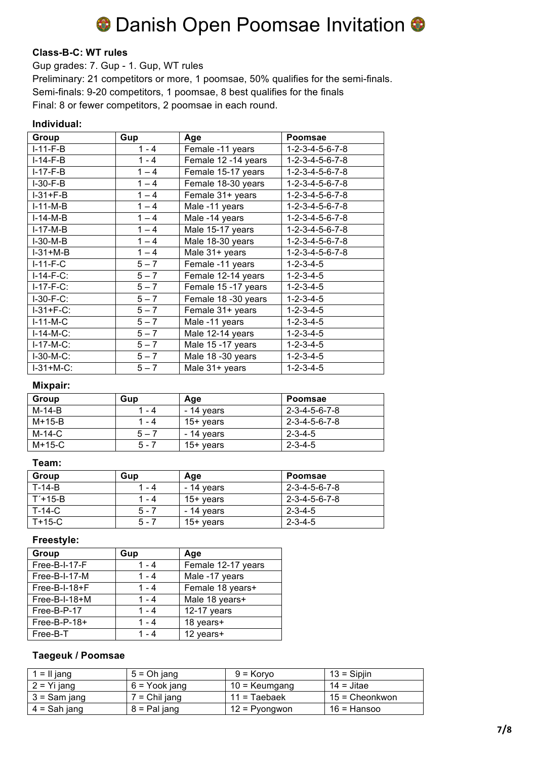# **O** Danish Open Poomsae Invitation O

### **Class-B-C: WT rules**

Gup grades: 7. Gup - 1. Gup, WT rules Preliminary: 21 competitors or more, 1 poomsae, 50% qualifies for the semi-finals. Semi-finals: 9-20 competitors, 1 poomsae, 8 best qualifies for the finals Final: 8 or fewer competitors, 2 poomsae in each round.

#### **Individual:**

| Group        | Gup     | Age                 | <b>Poomsae</b>                  |
|--------------|---------|---------------------|---------------------------------|
| $I-11-F-B$   | $1 - 4$ | Female -11 years    | $1 - 2 - 3 - 4 - 5 - 6 - 7 - 8$ |
| $I-14-F-B$   | $1 - 4$ | Female 12 -14 years | $1 - 2 - 3 - 4 - 5 - 6 - 7 - 8$ |
| $I-17-F-B$   | $1 - 4$ | Female 15-17 years  | $1 - 2 - 3 - 4 - 5 - 6 - 7 - 8$ |
| $I-30-F-B$   | $1 - 4$ | Female 18-30 years  | $1 - 2 - 3 - 4 - 5 - 6 - 7 - 8$ |
| $I-31+F-B$   | $1 - 4$ | Female 31+ years    | $1 - 2 - 3 - 4 - 5 - 6 - 7 - 8$ |
| $I-11-M-B$   | $1 - 4$ | Male -11 years      | $1 - 2 - 3 - 4 - 5 - 6 - 7 - 8$ |
| $I-14-M-B$   | $1 - 4$ | Male -14 years      | $1 - 2 - 3 - 4 - 5 - 6 - 7 - 8$ |
| $I-17-M-B$   | $1 - 4$ | Male 15-17 years    | $1 - 2 - 3 - 4 - 5 - 6 - 7 - 8$ |
| $I-30-M-B$   | $1 - 4$ | Male 18-30 years    | $1 - 2 - 3 - 4 - 5 - 6 - 7 - 8$ |
| $I-31+M-B$   | $1 - 4$ | Male 31+ years      | $1 - 2 - 3 - 4 - 5 - 6 - 7 - 8$ |
| $I-11-F-C$   | $5 - 7$ | Female -11 years    | $1 - 2 - 3 - 4 - 5$             |
| $I-14-F-C$ : | $5 - 7$ | Female 12-14 years  | $1 - 2 - 3 - 4 - 5$             |
| $I-17-F-C:$  | $5 - 7$ | Female 15 -17 years | $1 - 2 - 3 - 4 - 5$             |
| $I-30-F-C$ : | $5 - 7$ | Female 18 -30 years | $1 - 2 - 3 - 4 - 5$             |
| $I-31+F-C:$  | $5 - 7$ | Female 31+ years    | $1 - 2 - 3 - 4 - 5$             |
| $I-11-M-C$   | $5 - 7$ | Male -11 years      | $1 - 2 - 3 - 4 - 5$             |
| $I-14-M-C$ : | $5 - 7$ | Male 12-14 years    | $1 - 2 - 3 - 4 - 5$             |
| $I-17-M-C$ : | $5 - 7$ | Male 15 -17 years   | $1 - 2 - 3 - 4 - 5$             |
| $I-30-M-C$ : | $5 - 7$ | Male 18 -30 years   | $1 - 2 - 3 - 4 - 5$             |
| $I-31+M-C$ : | $5 - 7$ | Male 31+ years      | $1 - 2 - 3 - 4 - 5$             |

### **Mixpair:**

| Group  | Gup     | Age         | Poomsae                     |
|--------|---------|-------------|-----------------------------|
| M-14-B | 1 - 4   | - 14 years  | $2 - 3 - 4 - 5 - 6 - 7 - 8$ |
| M+15-B | 1 - 4   | $15+$ years | 2-3-4-5-6-7-8               |
| M-14-C | $5 - 7$ | - 14 years  | $2 - 3 - 4 - 5$             |
| M+15-C | $5 - 7$ | $15+$ years | $2 - 3 - 4 - 5$             |

### **Team:**

| Group         | Gup     | Age         | Poomsae                     |
|---------------|---------|-------------|-----------------------------|
| $T-14-B$      | 1 - 4   | - 14 years  | $2 - 3 - 4 - 5 - 6 - 7 - 8$ |
| $T' + 15 - B$ | $1 - 4$ | $15+$ years | 2-3-4-5-6-7-8               |
| $T-14-C$      | $5 - 7$ | - 14 years  | $2 - 3 - 4 - 5$             |
| $T+15-C$      | $5 - 7$ | $15+$ years | $2 - 3 - 4 - 5$             |

### **Freestyle:**

| Group           | Gup     | Age                |
|-----------------|---------|--------------------|
| Free-B-I-17-F   | $1 - 4$ | Female 12-17 years |
| Free-B-I-17-M   | $1 - 4$ | Male -17 years     |
| $Free-B-I-18+F$ | $1 - 4$ | Female 18 years+   |
| Free-B-I-18+M   | $1 - 4$ | Male 18 years+     |
| Free-B-P-17     | $1 - 4$ | $12-17$ years      |
| $Free-B-P-18+$  | $1 - 4$ | 18 years+          |
| Free-B-T        | $1 - 4$ | 12 years+          |

### **Taegeuk / Poomsae**

| 1 = II jang    | $5 = Oh$ jang   | $9 = K$ orvo    | $13 =$ Sipjin    |
|----------------|-----------------|-----------------|------------------|
| $2 =$ Yi jang  | 6 = Yook jang   | $10 =$ Keumgang | 14 = Jitae       |
| 3 = Sam jang   | $7 =$ Chil jang | $11 =$ Taebaek  | $15 =$ Cheonkwon |
| $4 =$ Sah jang | $8 =$ Pal jang  | 12 = Pyongwon   | 16 = Hansoo      |